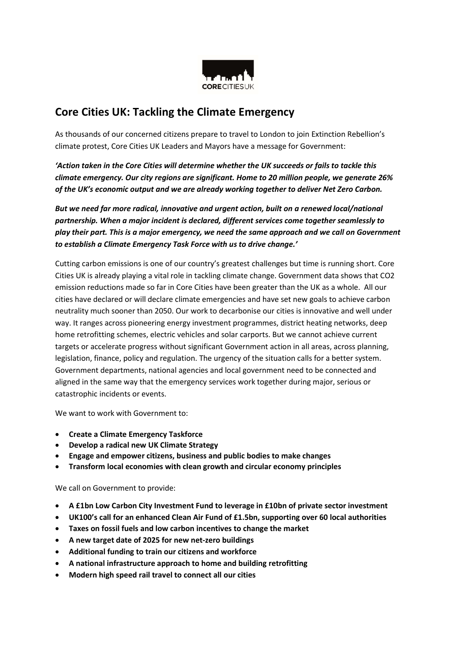

# Core Cities UK: Tackling the Climate Emergency

As thousands of our concerned citizens prepare to travel to London to join Extinction Rebellion's climate protest, Core Cities UK Leaders and Mayors have a message for Government:

'Action taken in the Core Cities will determine whether the UK succeeds or fails to tackle this climate emergency. Our city regions are significant. Home to 20 million people, we generate 26% of the UK's economic output and we are already working together to deliver Net Zero Carbon.

But we need far more radical, innovative and urgent action, built on a renewed local/national partnership. When a major incident is declared, different services come together seamlessly to play their part. This is a major emergency, we need the same approach and we call on Government to establish a Climate Emergency Task Force with us to drive change.'

Cutting carbon emissions is one of our country's greatest challenges but time is running short. Core Cities UK is already playing a vital role in tackling climate change. Government data shows that CO2 emission reductions made so far in Core Cities have been greater than the UK as a whole. All our cities have declared or will declare climate emergencies and have set new goals to achieve carbon neutrality much sooner than 2050. Our work to decarbonise our cities is innovative and well under way. It ranges across pioneering energy investment programmes, district heating networks, deep home retrofitting schemes, electric vehicles and solar carports. But we cannot achieve current targets or accelerate progress without significant Government action in all areas, across planning, legislation, finance, policy and regulation. The urgency of the situation calls for a better system. Government departments, national agencies and local government need to be connected and aligned in the same way that the emergency services work together during major, serious or catastrophic incidents or events.

We want to work with Government to:

- Create a Climate Emergency Taskforce
- Develop a radical new UK Climate Strategy
- Engage and empower citizens, business and public bodies to make changes
- Transform local economies with clean growth and circular economy principles

We call on Government to provide:

- A £1bn Low Carbon City Investment Fund to leverage in £10bn of private sector investment
- UK100's call for an enhanced Clean Air Fund of £1.5bn, supporting over 60 local authorities
- Taxes on fossil fuels and low carbon incentives to change the market
- A new target date of 2025 for new net-zero buildings
- Additional funding to train our citizens and workforce
- A national infrastructure approach to home and building retrofitting
- Modern high speed rail travel to connect all our cities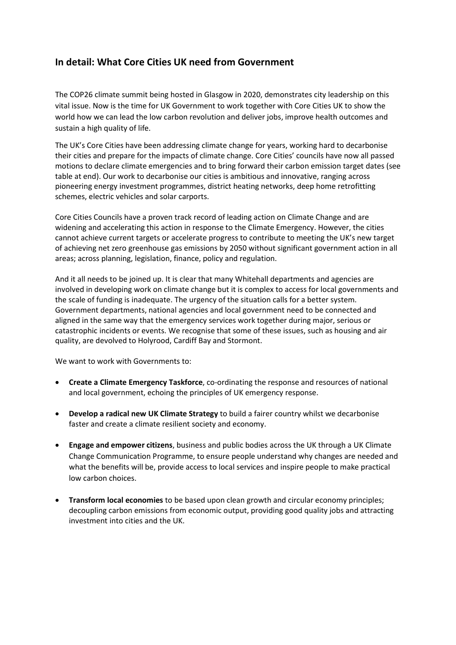## In detail: What Core Cities UK need from Government

The COP26 climate summit being hosted in Glasgow in 2020, demonstrates city leadership on this vital issue. Now is the time for UK Government to work together with Core Cities UK to show the world how we can lead the low carbon revolution and deliver jobs, improve health outcomes and sustain a high quality of life.

The UK's Core Cities have been addressing climate change for years, working hard to decarbonise their cities and prepare for the impacts of climate change. Core Cities' councils have now all passed motions to declare climate emergencies and to bring forward their carbon emission target dates (see table at end). Our work to decarbonise our cities is ambitious and innovative, ranging across pioneering energy investment programmes, district heating networks, deep home retrofitting schemes, electric vehicles and solar carports.

Core Cities Councils have a proven track record of leading action on Climate Change and are widening and accelerating this action in response to the Climate Emergency. However, the cities cannot achieve current targets or accelerate progress to contribute to meeting the UK's new target of achieving net zero greenhouse gas emissions by 2050 without significant government action in all areas; across planning, legislation, finance, policy and regulation.

And it all needs to be joined up. It is clear that many Whitehall departments and agencies are involved in developing work on climate change but it is complex to access for local governments and the scale of funding is inadequate. The urgency of the situation calls for a better system. Government departments, national agencies and local government need to be connected and aligned in the same way that the emergency services work together during major, serious or catastrophic incidents or events. We recognise that some of these issues, such as housing and air quality, are devolved to Holyrood, Cardiff Bay and Stormont.

We want to work with Governments to:

- Create a Climate Emergency Taskforce, co-ordinating the response and resources of national and local government, echoing the principles of UK emergency response.
- Develop a radical new UK Climate Strategy to build a fairer country whilst we decarbonise faster and create a climate resilient society and economy.
- Engage and empower citizens, business and public bodies across the UK through a UK Climate Change Communication Programme, to ensure people understand why changes are needed and what the benefits will be, provide access to local services and inspire people to make practical low carbon choices.
- Transform local economies to be based upon clean growth and circular economy principles; decoupling carbon emissions from economic output, providing good quality jobs and attracting investment into cities and the UK.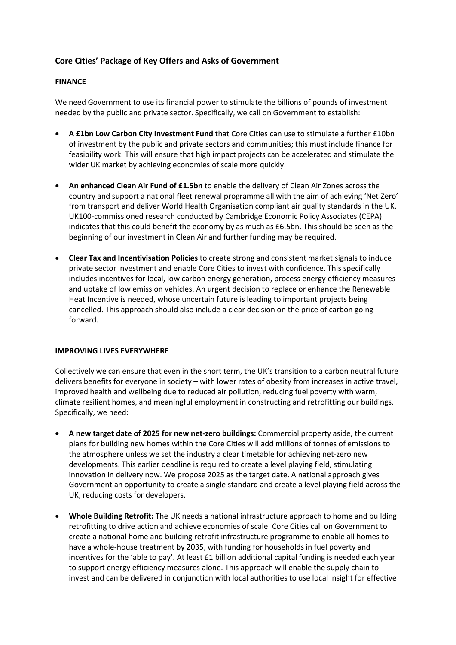## Core Cities' Package of Key Offers and Asks of Government

### FINANCE

We need Government to use its financial power to stimulate the billions of pounds of investment needed by the public and private sector. Specifically, we call on Government to establish:

- A £1bn Low Carbon City Investment Fund that Core Cities can use to stimulate a further £10bn of investment by the public and private sectors and communities; this must include finance for feasibility work. This will ensure that high impact projects can be accelerated and stimulate the wider UK market by achieving economies of scale more quickly.
- An enhanced Clean Air Fund of £1.5bn to enable the delivery of Clean Air Zones across the country and support a national fleet renewal programme all with the aim of achieving 'Net Zero' from transport and deliver World Health Organisation compliant air quality standards in the UK. UK100-commissioned research conducted by Cambridge Economic Policy Associates (CEPA) indicates that this could benefit the economy by as much as £6.5bn. This should be seen as the beginning of our investment in Clean Air and further funding may be required.
- Clear Tax and Incentivisation Policies to create strong and consistent market signals to induce private sector investment and enable Core Cities to invest with confidence. This specifically includes incentives for local, low carbon energy generation, process energy efficiency measures and uptake of low emission vehicles. An urgent decision to replace or enhance the Renewable Heat Incentive is needed, whose uncertain future is leading to important projects being cancelled. This approach should also include a clear decision on the price of carbon going forward.

#### IMPROVING LIVES EVERYWHERE

Collectively we can ensure that even in the short term, the UK's transition to a carbon neutral future delivers benefits for everyone in society – with lower rates of obesity from increases in active travel, improved health and wellbeing due to reduced air pollution, reducing fuel poverty with warm, climate resilient homes, and meaningful employment in constructing and retrofitting our buildings. Specifically, we need:

- A new target date of 2025 for new net-zero buildings: Commercial property aside, the current plans for building new homes within the Core Cities will add millions of tonnes of emissions to the atmosphere unless we set the industry a clear timetable for achieving net-zero new developments. This earlier deadline is required to create a level playing field, stimulating innovation in delivery now. We propose 2025 as the target date. A national approach gives Government an opportunity to create a single standard and create a level playing field across the UK, reducing costs for developers.
- Whole Building Retrofit: The UK needs a national infrastructure approach to home and building retrofitting to drive action and achieve economies of scale. Core Cities call on Government to create a national home and building retrofit infrastructure programme to enable all homes to have a whole-house treatment by 2035, with funding for households in fuel poverty and incentives for the 'able to pay'. At least £1 billion additional capital funding is needed each year to support energy efficiency measures alone. This approach will enable the supply chain to invest and can be delivered in conjunction with local authorities to use local insight for effective